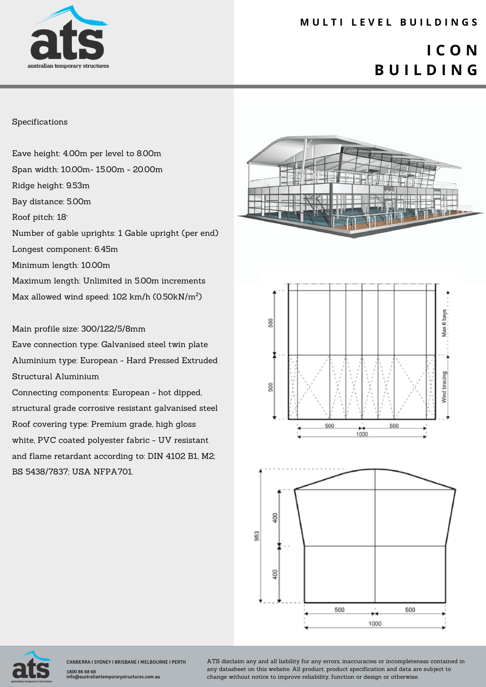

### **M U L T I L E V E L B U I L D I N G S**

## **I C O N B U I L D I N G**

#### Specifications

Eave height: 4.00m per level to 8.00m Span width: 10.00m- 15.00m - 20.00m Ridge height: 9.53m Bay distance: 5.00m Roof pitch: 18° Number of gable uprights: 1 Gable upright (per end) Longest component: 6.45m Minimum length: 10.00m Maximum length: Unlimited in 5.00m increments Max allowed wind speed: 102 km/h (0.50kN/m²)

#### Main profile size: 300/122/5/8mm

Eave connection type: Galvanised steel twin plate Aluminium type: European - Hard Pressed Extruded Structural Aluminium

Connecting components: European - hot dipped, structural grade corrosive resistant galvanised steel Roof covering type: Premium grade, high gloss white, PVC coated polyester fabric - UV resistant and flame retardant according to: DIN 4102 B1, M2; BS 5438/7837; USA NFPA701.









CANBERRA I SYDNEY I BRISBANE I MELBOURNE I PERTH 1800 86 68 68 os os<br>ustraliantemporarystructures.com.au

ATS disclaim any and all liability for any errors, inaccuracies or incompleteness contained in any datasheet on this website. All product, product specification and data are subject to change without notice to improve reliability, function or design or otherwise.